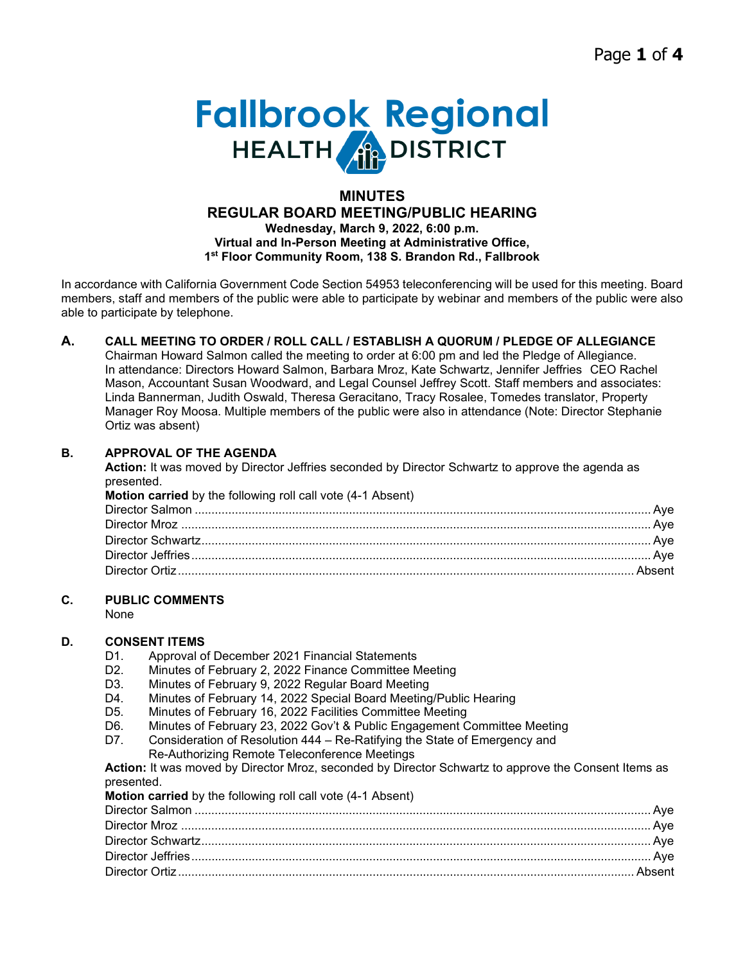# **Fallbrook Regional**

#### **MINUTES REGULAR BOARD MEETING/PUBLIC HEARING Wednesday, March 9, 2022, 6:00 p.m. Virtual and In-Person Meeting at Administrative Office, 1st Floor Community Room, 138 S. Brandon Rd., Fallbrook**

In accordance with California Government Code Section 54953 teleconferencing will be used for this meeting. Board members, staff and members of the public were able to participate by webinar and members of the public were also able to participate by telephone.

### **A. CALL MEETING TO ORDER / ROLL CALL / ESTABLISH A QUORUM / PLEDGE OF ALLEGIANCE**

Chairman Howard Salmon called the meeting to order at 6:00 pm and led the Pledge of Allegiance. In attendance: Directors Howard Salmon, Barbara Mroz, Kate Schwartz, Jennifer Jeffries CEO Rachel Mason, Accountant Susan Woodward, and Legal Counsel Jeffrey Scott. Staff members and associates: Linda Bannerman, Judith Oswald, Theresa Geracitano, Tracy Rosalee, Tomedes translator, Property Manager Roy Moosa. Multiple members of the public were also in attendance (Note: Director Stephanie Ortiz was absent)

#### **B. APPROVAL OF THE AGENDA**

**Action:** It was moved by Director Jeffries seconded by Director Schwartz to approve the agenda as presented.

| <b>Motion carried</b> by the following roll call vote (4-1 Absent) |  |
|--------------------------------------------------------------------|--|
|                                                                    |  |
|                                                                    |  |
|                                                                    |  |
|                                                                    |  |
|                                                                    |  |

#### **C. PUBLIC COMMENTS**

None

# **D. CONSENT ITEMS**<br>D1. **Approval of**

- Approval of December 2021 Financial Statements
- D2. Minutes of February 2, 2022 Finance Committee Meeting
- D3. Minutes of February 9, 2022 Regular Board Meeting
- D4. Minutes of February 14, 2022 Special Board Meeting/Public Hearing
- D5. Minutes of February 16, 2022 Facilities Committee Meeting
- D6. Minutes of February 23, 2022 Gov't & Public Engagement Committee Meeting
- D7. Consideration of Resolution 444 Re-Ratifying the State of Emergency and Re-Authorizing Remote Teleconference Meetings

#### **Action:** It was moved by Director Mroz, seconded by Director Schwartz to approve the Consent Items as presented.

**Motion carried** by the following roll call vote (4-1 Absent)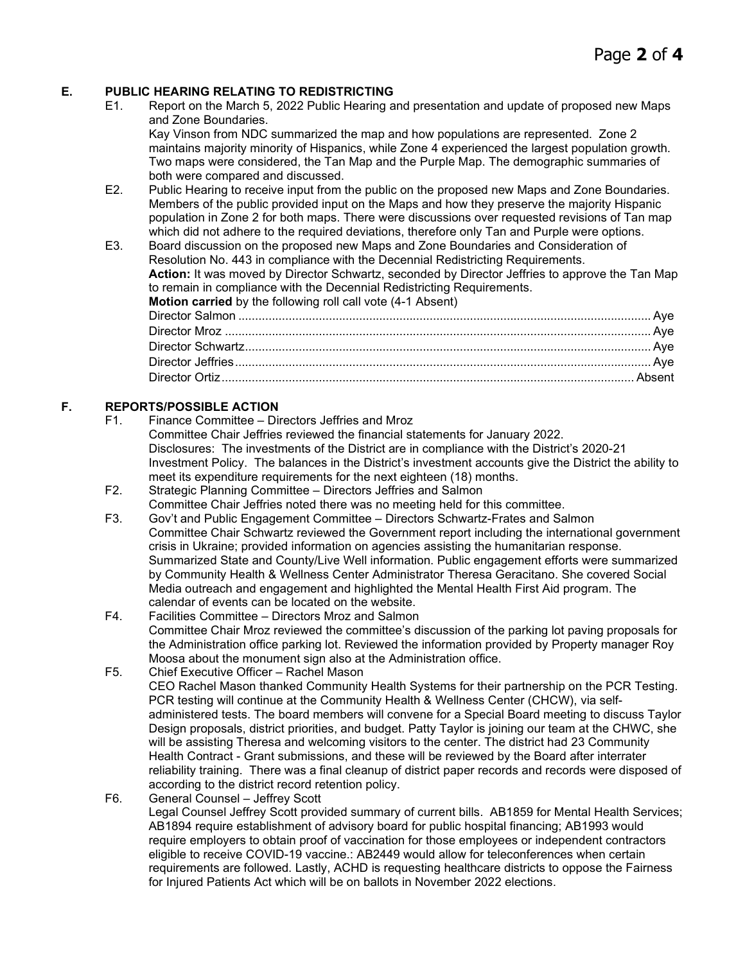### **E. PUBLIC HEARING RELATING TO REDISTRICTING**

E1. Report on the March 5, 2022 Public Hearing and presentation and update of proposed new Maps and Zone Boundaries.

Kay Vinson from NDC summarized the map and how populations are represented. Zone 2 maintains majority minority of Hispanics, while Zone 4 experienced the largest population growth. Two maps were considered, the Tan Map and the Purple Map. The demographic summaries of both were compared and discussed.

- E2. Public Hearing to receive input from the public on the proposed new Maps and Zone Boundaries. Members of the public provided input on the Maps and how they preserve the majority Hispanic population in Zone 2 for both maps. There were discussions over requested revisions of Tan map which did not adhere to the required deviations, therefore only Tan and Purple were options.
- E3. Board discussion on the proposed new Maps and Zone Boundaries and Consideration of Resolution No. 443 in compliance with the Decennial Redistricting Requirements. **Action:** It was moved by Director Schwartz, seconded by Director Jeffries to approve the Tan Map to remain in compliance with the Decennial Redistricting Requirements. **Motion carried** by the following roll call vote (4-1 Absent) Director Salmon ........................................................................................................................... Aye Director Mroz ............................................................................................................................... Aye

#### **F. REPORTS/POSSIBLE ACTION**

- F1. Finance Committee Directors Jeffries and Mroz Committee Chair Jeffries reviewed the financial statements for January 2022. Disclosures: The investments of the District are in compliance with the District's 2020-21 Investment Policy. The balances in the District's investment accounts give the District the ability to meet its expenditure requirements for the next eighteen (18) months.
- F2. Strategic Planning Committee Directors Jeffries and Salmon Committee Chair Jeffries noted there was no meeting held for this committee.
- F3. Gov't and Public Engagement Committee Directors Schwartz-Frates and Salmon Committee Chair Schwartz reviewed the Government report including the international government crisis in Ukraine; provided information on agencies assisting the humanitarian response. Summarized State and County/Live Well information. Public engagement efforts were summarized by Community Health & Wellness Center Administrator Theresa Geracitano. She covered Social Media outreach and engagement and highlighted the Mental Health First Aid program. The calendar of events can be located on the website.
- F4. Facilities Committee Directors Mroz and Salmon Committee Chair Mroz reviewed the committee's discussion of the parking lot paving proposals for the Administration office parking lot. Reviewed the information provided by Property manager Roy Moosa about the monument sign also at the Administration office.
- F5. Chief Executive Officer Rachel Mason CEO Rachel Mason thanked Community Health Systems for their partnership on the PCR Testing. PCR testing will continue at the Community Health & Wellness Center (CHCW), via selfadministered tests. The board members will convene for a Special Board meeting to discuss Taylor Design proposals, district priorities, and budget. Patty Taylor is joining our team at the CHWC, she will be assisting Theresa and welcoming visitors to the center. The district had 23 Community Health Contract - Grant submissions, and these will be reviewed by the Board after interrater reliability training. There was a final cleanup of district paper records and records were disposed of according to the district record retention policy.
- F6. General Counsel Jeffrey Scott

Legal Counsel Jeffrey Scott provided summary of current bills. AB1859 for Mental Health Services; AB1894 require establishment of advisory board for public hospital financing; AB1993 would require employers to obtain proof of vaccination for those employees or independent contractors eligible to receive COVID-19 vaccine.: AB2449 would allow for teleconferences when certain requirements are followed. Lastly, ACHD is requesting healthcare districts to oppose the Fairness for Injured Patients Act which will be on ballots in November 2022 elections.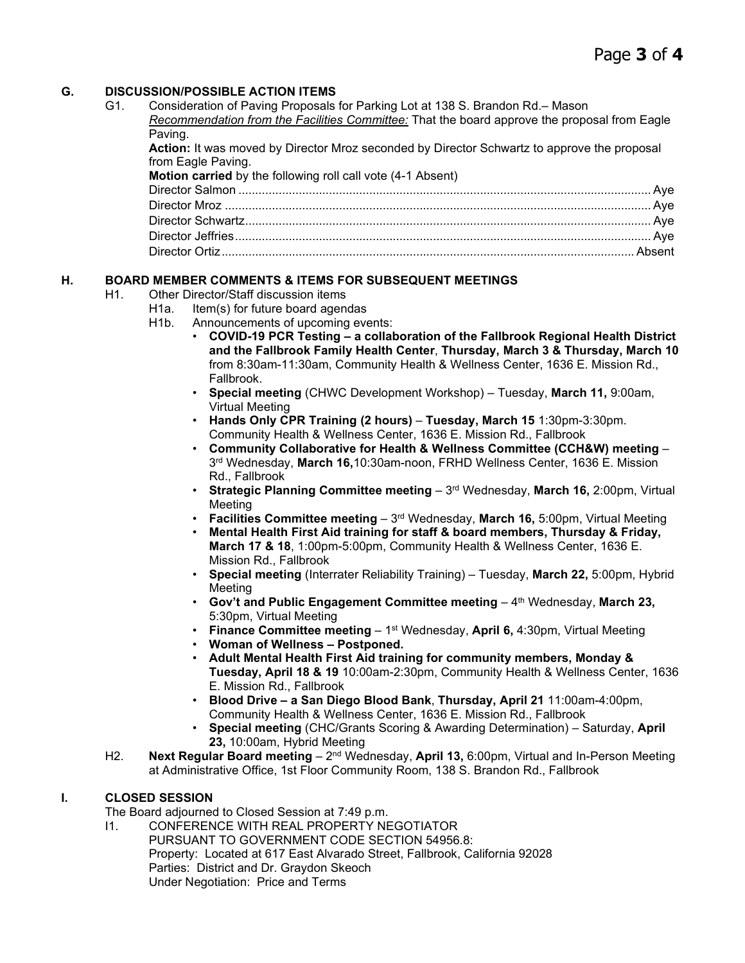# **G. DISCUSSION/POSSIBLE ACTION ITEMS**

| G1. | Consideration of Paving Proposals for Parking Lot at 138 S. Brandon Rd.– Mason               |  |
|-----|----------------------------------------------------------------------------------------------|--|
|     | Recommendation from the Facilities Committee: That the board approve the proposal from Eagle |  |
|     | Paving.                                                                                      |  |
|     | Action: It was moved by Director Mroz seconded by Director Schwartz to approve the proposal  |  |
|     | from Eagle Paving.                                                                           |  |
|     | Motion carried by the following roll call vote (4-1 Absent)                                  |  |
|     |                                                                                              |  |
|     |                                                                                              |  |
|     |                                                                                              |  |
|     |                                                                                              |  |
|     |                                                                                              |  |
|     |                                                                                              |  |

# **H. BOARD MEMBER COMMENTS & ITEMS FOR SUBSEQUENT MEETINGS**

- H1. Other Director/Staff discussion items
	- H<sub>1a.</sub> Item(s) for future board agendas
		- H1b. Announcements of upcoming events:
			- **COVID-19 PCR Testing – a collaboration of the Fallbrook Regional Health District and the Fallbrook Family Health Center**, **Thursday, March 3 & Thursday, March 10**  from 8:30am-11:30am, Community Health & Wellness Center, 1636 E. Mission Rd., Fallbrook.
			- **Special meeting** (CHWC Development Workshop) Tuesday, **March 11,** 9:00am, Virtual Meeting
			- **Hands Only CPR Training (2 hours) Tuesday, March 15** 1:30pm-3:30pm. Community Health & Wellness Center, 1636 E. Mission Rd., Fallbrook
			- **Community Collaborative for Health & Wellness Committee (CCH&W) meeting** 3rd Wednesday, **March 16,**10:30am-noon, FRHD Wellness Center, 1636 E. Mission Rd., Fallbrook
			- **Strategic Planning Committee meeting** 3rd Wednesday, **March 16,** 2:00pm, Virtual Meeting
			- **Facilities Committee meeting** 3rd Wednesday, **March 16,** 5:00pm, Virtual Meeting
			- **Mental Health First Aid training for staff & board members, Thursday & Friday, March 17 & 18**, 1:00pm-5:00pm, Community Health & Wellness Center, 1636 E. Mission Rd., Fallbrook
			- **Special meeting** (Interrater Reliability Training) Tuesday, **March 22,** 5:00pm, Hybrid Meeting
			- Gov't and Public Engagement Committee meeting 4<sup>th</sup> Wednesday, March 23, 5:30pm, Virtual Meeting
			- **Finance Committee meeting** 1st Wednesday, **April 6,** 4:30pm, Virtual Meeting
			- **Woman of Wellness – Postponed.**
			- **Adult Mental Health First Aid training for community members, Monday & Tuesday, April 18 & 19** 10:00am-2:30pm, Community Health & Wellness Center, 1636 E. Mission Rd., Fallbrook
			- **Blood Drive – a San Diego Blood Bank**, **Thursday, April 21** 11:00am-4:00pm, Community Health & Wellness Center, 1636 E. Mission Rd., Fallbrook
			- **Special meeting** (CHC/Grants Scoring & Awarding Determination) Saturday, **April 23,** 10:00am, Hybrid Meeting
- H2. **Next Regular Board meeting** 2<sup>nd</sup> Wednesday, April 13, 6:00pm, Virtual and In-Person Meeting at Administrative Office, 1st Floor Community Room, 138 S. Brandon Rd., Fallbrook

# **I. CLOSED SESSION**

The Board adjourned to Closed Session at 7:49 p.m.

I1. CONFERENCE WITH REAL PROPERTY NEGOTIATOR PURSUANT TO GOVERNMENT CODE SECTION 54956.8: Property: Located at 617 East Alvarado Street, Fallbrook, California 92028 Parties: District and Dr. Graydon Skeoch Under Negotiation: Price and Terms